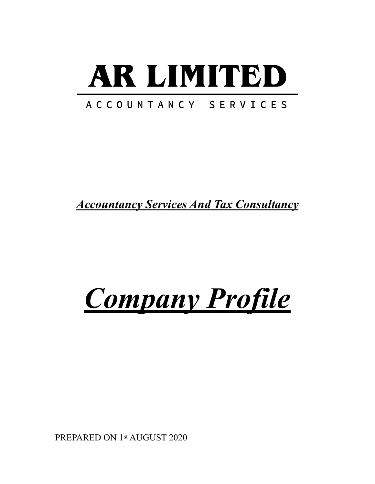# AR LIMITED

#### ACCOUNTANCY SERVICES

*Accountancy Services And Tax Consultancy* 

### *Company Profile*

PREPARED ON 1st AUGUST 2020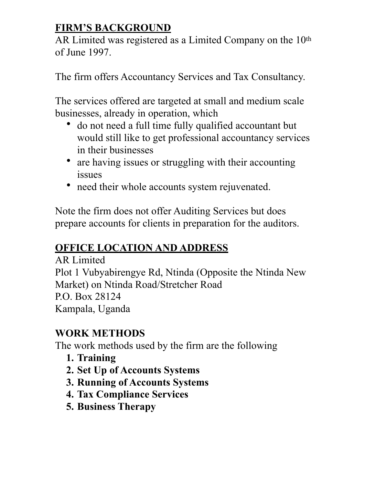#### **FIRM'S BACKGROUND**

AR Limited was registered as a Limited Company on the 10<sup>th</sup> of June 1997.

The firm offers Accountancy Services and Tax Consultancy.

The services offered are targeted at small and medium scale businesses, already in operation, which

- do not need a full time fully qualified accountant but would still like to get professional accountancy services in their businesses
- are having issues or struggling with their accounting issues
- need their whole accounts system rejuvenated.

Note the firm does not offer Auditing Services but does prepare accounts for clients in preparation for the auditors.

#### **OFFICE LOCATION AND ADDRESS**

AR Limited Plot 1 Vubyabirengye Rd, Ntinda (Opposite the Ntinda New Market) on Ntinda Road/Stretcher Road P.O. Box 28124 Kampala, Uganda

#### **WORK METHODS**

The work methods used by the firm are the following

- **1. Training**
- **2. Set Up of Accounts Systems**
- **3. Running of Accounts Systems**
- **4. Tax Compliance Services**
- **5. Business Therapy**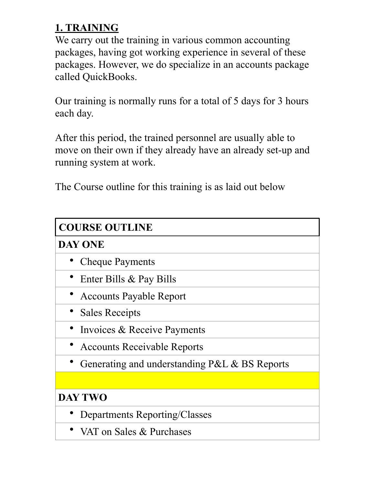#### **1. TRAINING**

We carry out the training in various common accounting packages, having got working experience in several of these packages. However, we do specialize in an accounts package called QuickBooks.

Our training is normally runs for a total of 5 days for 3 hours each day.

After this period, the trained personnel are usually able to move on their own if they already have an already set-up and running system at work.

The Course outline for this training is as laid out below

| <b>COURSE OUTLINE</b>                         |
|-----------------------------------------------|
| <b>DAY ONE</b>                                |
| <b>Cheque Payments</b>                        |
| Enter Bills & Pay Bills                       |
| • Accounts Payable Report                     |
| <b>Sales Receipts</b>                         |
| Invoices & Receive Payments                   |
| <b>Accounts Receivable Reports</b>            |
| Generating and understanding P&L & BS Reports |
|                                               |
| <b>DAY TWO</b>                                |
| Departments Reporting/Classes                 |
| VAT on Sales & Purchases                      |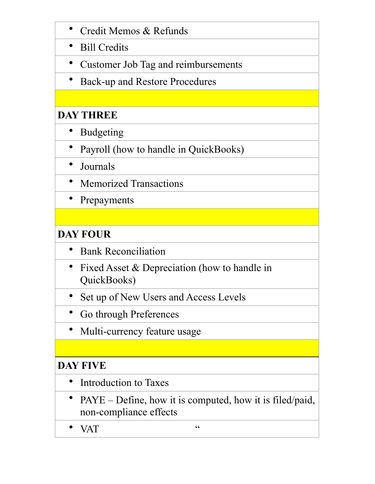| Credit Memos & Refunds                                                                |
|---------------------------------------------------------------------------------------|
| <b>Bill Credits</b>                                                                   |
| Customer Job Tag and reimbursements                                                   |
| Back-up and Restore Procedures                                                        |
|                                                                                       |
| <b>DAY THREE</b>                                                                      |
| <b>Budgeting</b>                                                                      |
| Payroll (how to handle in QuickBooks)                                                 |
| Journals                                                                              |
| <b>Memorized Transactions</b>                                                         |
| Prepayments                                                                           |
|                                                                                       |
| <b>DAY FOUR</b>                                                                       |
| <b>Bank Reconciliation</b>                                                            |
| Fixed Asset & Depreciation (how to handle in<br>$\bullet$<br>QuickBooks)              |
| Set up of New Users and Access Levels                                                 |
| Go through Preferences                                                                |
| Multi-currency feature usage                                                          |
|                                                                                       |
| <b>DAY FIVE</b>                                                                       |
| Introduction to Taxes                                                                 |
| $PAYE - Define$ , how it is computed, how it is filed/paid,<br>non-compliance effects |

• VAT  $\hspace{1.6cm}$   $\hspace{1.6cm}$   $\hspace{1.6cm}$   $\hspace{1.6cm}$   $\hspace{1.6cm}$   $\hspace{1.6cm}$   $\hspace{1.6cm}$   $\hspace{1.6cm}$   $\hspace{1.6cm}$   $\hspace{1.6cm}$   $\hspace{1.6cm}$   $\hspace{1.6cm}$   $\hspace{1.6cm}$   $\hspace{1.6cm}$   $\hspace{1.6cm}$   $\hspace{1.6cm}$   $\hspace{1.6cm}$   $\hspace{1.6cm}$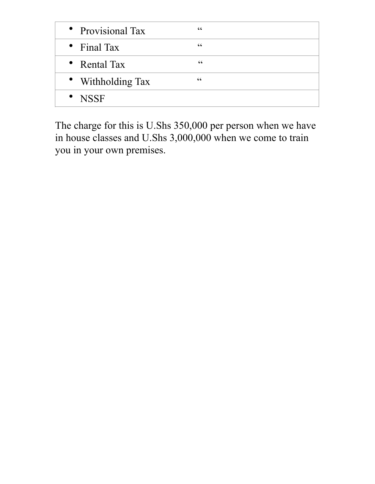| • Provisional Tax | $\epsilon$ |
|-------------------|------------|
| • Final Tax       | $\epsilon$ |
| • Rental Tax      | cc         |
| • Withholding Tax | $\epsilon$ |
| • NSSF            |            |

The charge for this is U.Shs 350,000 per person when we have in house classes and U.Shs 3,000,000 when we come to train you in your own premises.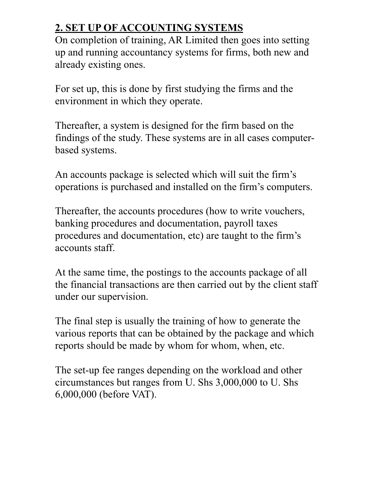#### **2. SET UP OF ACCOUNTING SYSTEMS**

On completion of training, AR Limited then goes into setting up and running accountancy systems for firms, both new and already existing ones.

For set up, this is done by first studying the firms and the environment in which they operate.

Thereafter, a system is designed for the firm based on the findings of the study. These systems are in all cases computerbased systems.

An accounts package is selected which will suit the firm's operations is purchased and installed on the firm's computers.

Thereafter, the accounts procedures (how to write vouchers, banking procedures and documentation, payroll taxes procedures and documentation, etc) are taught to the firm's accounts staff.

At the same time, the postings to the accounts package of all the financial transactions are then carried out by the client staff under our supervision.

The final step is usually the training of how to generate the various reports that can be obtained by the package and which reports should be made by whom for whom, when, etc.

The set-up fee ranges depending on the workload and other circumstances but ranges from U. Shs 3,000,000 to U. Shs 6,000,000 (before VAT).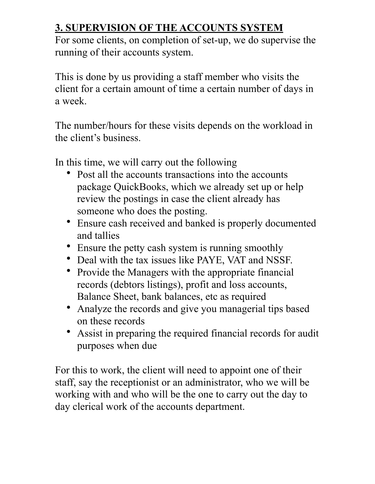#### **3. SUPERVISION OF THE ACCOUNTS SYSTEM**

For some clients, on completion of set-up, we do supervise the running of their accounts system.

This is done by us providing a staff member who visits the client for a certain amount of time a certain number of days in a week.

The number/hours for these visits depends on the workload in the client's business.

In this time, we will carry out the following

- Post all the accounts transactions into the accounts package QuickBooks, which we already set up or help review the postings in case the client already has someone who does the posting.
- Ensure cash received and banked is properly documented and tallies
- Ensure the petty cash system is running smoothly
- Deal with the tax issues like PAYE, VAT and NSSF.
- Provide the Managers with the appropriate financial records (debtors listings), profit and loss accounts, Balance Sheet, bank balances, etc as required
- Analyze the records and give you managerial tips based on these records
- Assist in preparing the required financial records for audit purposes when due

For this to work, the client will need to appoint one of their staff, say the receptionist or an administrator, who we will be working with and who will be the one to carry out the day to day clerical work of the accounts department.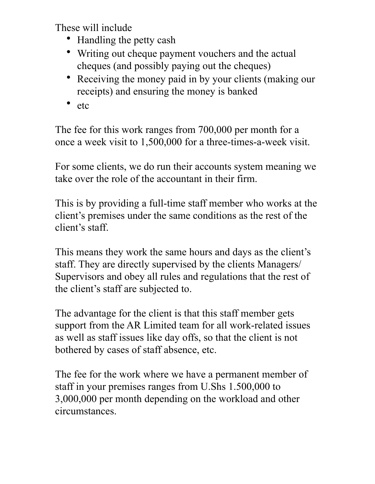These will include

- Handling the petty cash
- Writing out cheque payment vouchers and the actual cheques (and possibly paying out the cheques)
- Receiving the money paid in by your clients (making our receipts) and ensuring the money is banked
- etc

The fee for this work ranges from 700,000 per month for a once a week visit to 1,500,000 for a three-times-a-week visit.

For some clients, we do run their accounts system meaning we take over the role of the accountant in their firm.

This is by providing a full-time staff member who works at the client's premises under the same conditions as the rest of the client's staff.

This means they work the same hours and days as the client's staff. They are directly supervised by the clients Managers/ Supervisors and obey all rules and regulations that the rest of the client's staff are subjected to.

The advantage for the client is that this staff member gets support from the AR Limited team for all work-related issues as well as staff issues like day offs, so that the client is not bothered by cases of staff absence, etc.

The fee for the work where we have a permanent member of staff in your premises ranges from U.Shs 1.500,000 to 3,000,000 per month depending on the workload and other circumstances.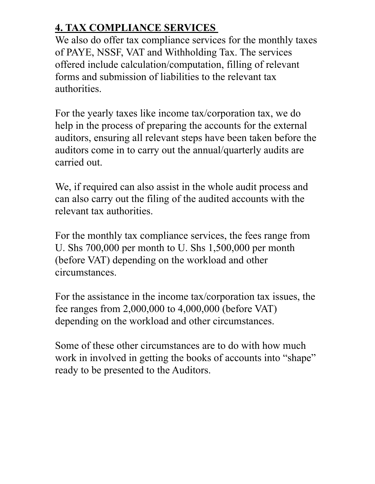#### **4. TAX COMPLIANCE SERVICES**

We also do offer tax compliance services for the monthly taxes of PAYE, NSSF, VAT and Withholding Tax. The services offered include calculation/computation, filling of relevant forms and submission of liabilities to the relevant tax authorities.

For the yearly taxes like income tax/corporation tax, we do help in the process of preparing the accounts for the external auditors, ensuring all relevant steps have been taken before the auditors come in to carry out the annual/quarterly audits are carried out.

We, if required can also assist in the whole audit process and can also carry out the filing of the audited accounts with the relevant tax authorities.

For the monthly tax compliance services, the fees range from U. Shs 700,000 per month to U. Shs 1,500,000 per month (before VAT) depending on the workload and other circumstances.

For the assistance in the income tax/corporation tax issues, the fee ranges from 2,000,000 to 4,000,000 (before VAT) depending on the workload and other circumstances.

Some of these other circumstances are to do with how much work in involved in getting the books of accounts into "shape" ready to be presented to the Auditors.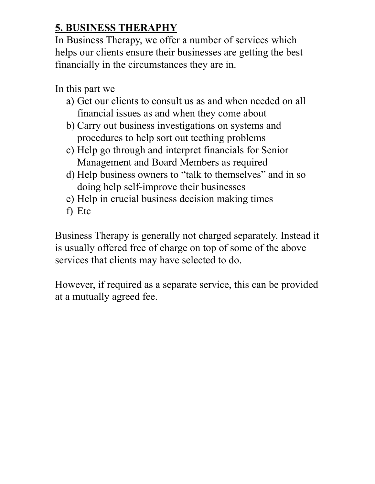#### **5. BUSINESS THERAPHY**

In Business Therapy, we offer a number of services which helps our clients ensure their businesses are getting the best financially in the circumstances they are in.

In this part we

- a) Get our clients to consult us as and when needed on all financial issues as and when they come about
- b) Carry out business investigations on systems and procedures to help sort out teething problems
- c) Help go through and interpret financials for Senior Management and Board Members as required
- d) Help business owners to "talk to themselves" and in so doing help self-improve their businesses
- e) Help in crucial business decision making times
- f) Etc

Business Therapy is generally not charged separately. Instead it is usually offered free of charge on top of some of the above services that clients may have selected to do.

However, if required as a separate service, this can be provided at a mutually agreed fee.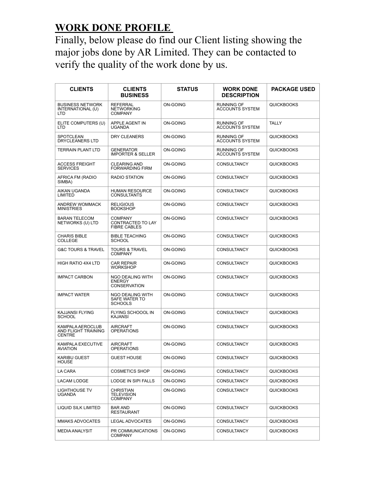#### **WORK DONE PROFILE**

Finally, below please do find our Client listing showing the major jobs done by AR Limited. They can be contacted to verify the quality of the work done by us.

| <b>CLIENTS</b>                                                  | <b>CLIENTS</b><br><b>BUSINESS</b>                          | <b>STATUS</b>   | <b>WORK DONE</b><br><b>DESCRIPTION</b>      | <b>PACKAGE USED</b> |
|-----------------------------------------------------------------|------------------------------------------------------------|-----------------|---------------------------------------------|---------------------|
| <b>BUSINESS NETWORK</b><br>INTERNATIONAL (U)<br>LTD             | <b>REFERRAL</b><br><b>NETWORKING</b><br><b>COMPANY</b>     | <b>ON-GOING</b> | <b>RUNNING OF</b><br><b>ACCOUNTS SYSTEM</b> | <b>QUICKBOOKS</b>   |
| ELITE COMPUTERS (U)<br><b>LTD</b>                               | APPLE AGENT IN<br><b>UGANDA</b>                            | ON-GOING        | <b>RUNNING OF</b><br><b>ACCOUNTS SYSTEM</b> | <b>TALLY</b>        |
| SPOTCLEAN<br>DRYCLEANERS LTD                                    | DRY CLEANERS                                               | ON-GOING        | <b>RUNNING OF</b><br><b>ACCOUNTS SYSTEM</b> | <b>QUICKBOOKS</b>   |
| <b>TERRAIN PLANT LTD</b>                                        | <b>GENERATOR</b><br><b>IMPORTER &amp; SELLER</b>           | ON-GOING        | <b>RUNNING OF</b><br><b>ACCOUNTS SYSTEM</b> | <b>QUICKBOOKS</b>   |
| <b>ACCESS FREIGHT</b><br><b>SERVICES</b>                        | <b>CLEARING AND</b><br><b>FORWARDING FIRM</b>              | ON-GOING        | <b>CONSULTANCY</b>                          | <b>QUICKBOOKS</b>   |
| AFRICA FM (RADIO<br>SIMBA)                                      | <b>RADIO STATION</b>                                       | <b>ON-GOING</b> | <b>CONSULTANCY</b>                          | <b>QUICKBOOKS</b>   |
| AIKAN UGANDA<br>LIMITED                                         | <b>HUMAN RESOURCE</b><br><b>CONSULTANTS</b>                | <b>ON-GOING</b> | <b>CONSULTANCY</b>                          | <b>QUICKBOOKS</b>   |
| <b>ANDREW WOMMACK</b><br><b>MINISTRIES</b>                      | <b>RELIGIOUS</b><br><b>BOOKSHOP</b>                        | <b>ON-GOING</b> | <b>CONSULTANCY</b>                          | <b>QUICKBOOKS</b>   |
| <b>BARAN TELECOM</b><br>NETWORKS (U) LTD                        | <b>COMPANY</b><br>CONTRACTED TO LAY<br><b>FIBRE CABLES</b> | <b>ON-GOING</b> | <b>CONSULTANCY</b>                          | <b>QUICKBOOKS</b>   |
| <b>CHARIS BIBLE</b><br><b>COLLEGE</b>                           | <b>BIBLE TEACHING</b><br><b>SCHOOL</b>                     | ON-GOING        | <b>CONSULTANCY</b>                          | <b>QUICKBOOKS</b>   |
| <b>G&amp;C TOURS &amp; TRAVEL</b>                               | <b>TOURS &amp; TRAVEL</b><br><b>COMPANY</b>                | <b>ON-GOING</b> | <b>CONSULTANCY</b>                          | <b>QUICKBOOKS</b>   |
| HIGH RATIO 4X4 LTD                                              | <b>CAR REPAIR</b><br><b>WORKSHOP</b>                       | <b>ON-GOING</b> | <b>CONSULTANCY</b>                          | <b>QUICKBOOKS</b>   |
| <b>IMPACT CARBON</b>                                            | NGO DEALING WITH<br><b>ENERGY</b><br><b>CONSERVATION</b>   | <b>ON-GOING</b> | <b>CONSULTANCY</b>                          | <b>QUICKBOOKS</b>   |
| <b>IMPACT WATER</b>                                             | NGO DEALING WITH<br>SAFE WATER TO<br><b>SCHOOLS</b>        | <b>ON-GOING</b> | <b>CONSULTANCY</b>                          | <b>QUICKBOOKS</b>   |
| KAJJANSI FLYING<br><b>SCHOOL</b>                                | FLYING SCHOOOL IN<br><b>KAJANSI</b>                        | ON-GOING        | <b>CONSULTANCY</b>                          | <b>QUICKBOOKS</b>   |
| KAMPALA AEROCLUB<br><b>AND FLIGHT TRAINING</b><br><b>CENTRE</b> | <b>AIRCRAFT</b><br><b>OPERATIONS</b>                       | <b>ON-GOING</b> | <b>CONSULTANCY</b>                          | <b>QUICKBOOKS</b>   |
| KAMPALA EXECUTIVE<br>AVIATION                                   | <b>AIRCRAFT</b><br><b>OPERATIONS</b>                       | <b>ON-GOING</b> | <b>CONSULTANCY</b>                          | <b>QUICKBOOKS</b>   |
| <b>KARIBU GUEST</b><br><b>HOUSE</b>                             | <b>GUEST HOUSE</b>                                         | <b>ON-GOING</b> | CONSULTANCY                                 | <b>QUICKBOOKS</b>   |
| LA CARA                                                         | <b>COSMETICS SHOP</b>                                      | ON-GOING        | <b>CONSULTANCY</b>                          | QUICKBOOKS          |
| LACAM LODGE                                                     | LODGE IN SIPI FALLS                                        | ON-GOING        | <b>CONSULTANCY</b>                          | <b>QUICKBOOKS</b>   |
| LIGHTHOUSE TV<br><b>UGANDA</b>                                  | CHRISTIAN<br><b>TELEVISION</b><br><b>COMPANY</b>           | ON-GOING        | <b>CONSULTANCY</b>                          | <b>QUICKBOOKS</b>   |
| LIQUID SILK LIMITED                                             | <b>BAR AND</b><br><b>RESTAURANT</b>                        | ON-GOING        | <b>CONSULTANCY</b>                          | <b>QUICKBOOKS</b>   |
| <b>MMAKS ADVOCATES</b>                                          | LEGAL ADVOCATES                                            | ON-GOING        | <b>CONSULTANCY</b>                          | <b>QUICKBOOKS</b>   |
| <b>MEDIA ANALYSIT</b>                                           | PR COMMUNICATIONS<br><b>COMPANY</b>                        | ON-GOING        | <b>CONSULTANCY</b>                          | QUICKBOOKS          |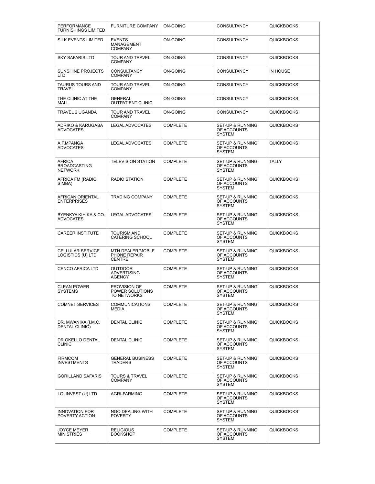| PERFORMANCE<br><b>FURNISHINGS LIMITED</b>       | <b>FURNITURE COMPANY</b>                          | ON-GOING        | CONSULTANCY                                                 | <b>QUICKBOOKS</b> |
|-------------------------------------------------|---------------------------------------------------|-----------------|-------------------------------------------------------------|-------------------|
| <b>SILK EVENTS LIMITED</b>                      | <b>EVENTS</b><br>MANAGEMENT<br><b>COMPANY</b>     | <b>ON-GOING</b> | <b>CONSULTANCY</b>                                          | <b>QUICKBOOKS</b> |
| <b>SKY SAFARIS LTD</b>                          | TOUR AND TRAVEL<br><b>COMPANY</b>                 | <b>ON-GOING</b> | <b>CONSULTANCY</b>                                          | <b>QUICKBOOKS</b> |
| <b>SUNSHINE PROJECTS</b><br><b>LTD</b>          | CONSULTANCY<br><b>COMPANY</b>                     | <b>ON-GOING</b> | <b>CONSULTANCY</b>                                          | IN HOUSE          |
| TAURUS TOURS AND<br>TRAVEL                      | TOUR AND TRAVEL<br><b>COMPANY</b>                 | <b>ON-GOING</b> | CONSULTANCY                                                 | <b>QUICKBOOKS</b> |
| THE CLINIC AT THE<br>MALL                       | <b>GENERAL</b><br><b>OUTPATIENT CLINIC</b>        | <b>ON-GOING</b> | <b>CONSULTANCY</b>                                          | <b>QUICKBOOKS</b> |
| TRAVEL 2 UGANDA                                 | TOUR AND TRAVEL<br><b>COMPANY</b>                 | ON-GOING        | <b>CONSULTANCY</b>                                          | <b>QUICKBOOKS</b> |
| ADRIKO & KARUGABA<br><b>ADVOCATES</b>           | <b>LEGAL ADVOCATES</b>                            | <b>COMPLETE</b> | <b>SET-UP &amp; RUNNING</b><br>OF ACCOUNTS<br><b>SYSTEM</b> | <b>QUICKBOOKS</b> |
| A.F.MPANGA<br><b>ADVOCATES</b>                  | LEGAL ADVOCATES                                   | <b>COMPLETE</b> | <b>SET-UP &amp; RUNNING</b><br>OF ACCOUNTS<br><b>SYSTEM</b> | <b>QUICKBOOKS</b> |
| AFRICA<br><b>BROADCASTING</b><br><b>NETWORK</b> | <b>TELEVISION STATION</b>                         | <b>COMPLETE</b> | <b>SET-UP &amp; RUNNING</b><br>OF ACCOUNTS<br><b>SYSTEM</b> | TALLY             |
| AFRICA FM (RADIO<br>SIMBA)                      | <b>RADIO STATION</b>                              | <b>COMPLETE</b> | SET-UP & RUNNING<br>OF ACCOUNTS<br><b>SYSTEM</b>            | <b>QUICKBOOKS</b> |
| <b>AFRICAN ORIENTAL</b><br><b>ENTERPRISES</b>   | TRADING COMPANY                                   | <b>COMPLETE</b> | <b>SET-UP &amp; RUNNING</b><br>OF ACCOUNTS<br><b>SYSTEM</b> | <b>QUICKBOOKS</b> |
| BYENKYA KIHIKA & CO.<br><b>ADVOCATES</b>        | <b>LEGAL ADVOCATES</b>                            | <b>COMPLETE</b> | <b>SET-UP &amp; RUNNING</b><br>OF ACCOUNTS<br><b>SYSTEM</b> | <b>QUICKBOOKS</b> |
| <b>CAREER INSTITUTE</b>                         | TOURISM AND<br>CATERING SCHOOL                    | <b>COMPLETE</b> | <b>SET-UP &amp; RUNNING</b><br>OF ACCOUNTS<br><b>SYSTEM</b> | <b>QUICKBOOKS</b> |
| <b>CELLULAR SERVICE</b><br>LOGISTICS (U) LTD    | MTN DEALER/MOBLE<br>PHONE REPAIR<br><b>CENTRE</b> | <b>COMPLETE</b> | <b>SET-UP &amp; RUNNING</b><br>OF ACCOUNTS<br><b>SYSTEM</b> | <b>QUICKBOOKS</b> |
| <b>CENCO AFRICA LTD</b>                         | OUTDOOR<br><b>ADVERTISING</b><br><b>AGENCY</b>    | <b>COMPLETE</b> | <b>SET-UP &amp; RUNNING</b><br>OF ACCOUNTS<br><b>SYSTEM</b> | <b>QUICKBOOKS</b> |
| <b>CLEAN POWER</b><br><b>SYSTEMS</b>            | PROVISION OF<br>POWER SOLUTIONS<br>TO NETWORKS    | <b>COMPLETE</b> | <b>SET-UP &amp; RUNNING</b><br>OF ACCOUNTS<br>SYSTEM        | <b>QUICKBOOKS</b> |
| <b>COMNET SERVICES</b>                          | COMMUNICATIONS<br><b>MEDIA</b>                    | <b>COMPLETE</b> | SET-UP & RUNNING<br>OF ACCOUNTS<br><b>SYSTEM</b>            | <b>QUICKBOOKS</b> |
| DR. MWANIKA (I.M.C.<br><b>DENTAL CLINIC)</b>    | <b>DENTAL CLINIC</b>                              | <b>COMPLETE</b> | SET-UP & RUNNING<br>OF ACCOUNTS<br>SYSTEM                   | <b>QUICKBOOKS</b> |
| DR.OKELLO DENTAL<br><b>CLINIC</b>               | <b>DENTAL CLINIC</b>                              | <b>COMPLETE</b> | SET-UP & RUNNING<br>OF ACCOUNTS<br><b>SYSTEM</b>            | <b>QUICKBOOKS</b> |
| <b>FIRMCOM</b><br><b>INVESTMENTS</b>            | <b>GENERAL BUSINESS</b><br>TRADERS                | <b>COMPLETE</b> | SET-UP & RUNNING<br>OF ACCOUNTS<br><b>SYSTEM</b>            | <b>QUICKBOOKS</b> |
| <b>GORILLAND SAFARIS</b>                        | TOURS & TRAVEL<br><b>COMPANY</b>                  | <b>COMPLETE</b> | SET-UP & RUNNING<br>OF ACCOUNTS<br><b>SYSTEM</b>            | <b>QUICKBOOKS</b> |
| I.G. INVEST (U) LTD                             | AGRI-FARMING                                      | <b>COMPLETE</b> | SET-UP & RUNNING<br>OF ACCOUNTS<br>SYSTEM                   | <b>QUICKBOOKS</b> |
| <b>INNOVATION FOR</b><br>POVERTY ACTION         | NGO DEALING WITH<br><b>POVERTY</b>                | <b>COMPLETE</b> | SET-UP & RUNNING<br>OF ACCOUNTS<br><b>SYSTEM</b>            | QUICKBOOKS        |
| JOYCE MEYER<br><b>MINISTRIES</b>                | RELIGIOUS<br>BOOKSHOP                             | <b>COMPLETE</b> | SET-UP & RUNNING<br>OF ACCOUNTS<br>SYSTEM                   | <b>QUICKBOOKS</b> |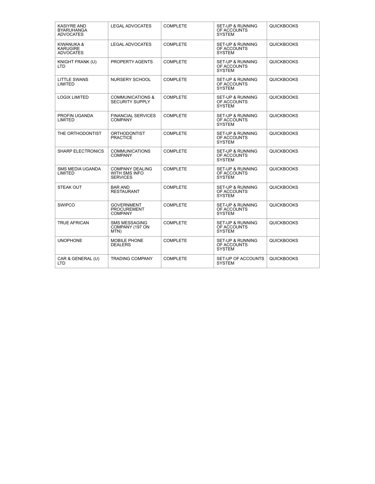| <b>KASIYRE AND</b><br><b>BYARUHANGA</b><br><b>ADVOCATES</b> | <b>LEGAL ADVOCATES</b>                                            | <b>COMPLETE</b> | <b>SET-UP &amp; RUNNING</b><br>OF ACCOUNTS<br><b>SYSTEM</b> | <b>QUICKBOOKS</b> |
|-------------------------------------------------------------|-------------------------------------------------------------------|-----------------|-------------------------------------------------------------|-------------------|
| KIWANUKA &<br><b>KARUGIRE</b><br><b>ADVOCATES</b>           | <b>LEGAL ADVOCATES</b>                                            | <b>COMPLETE</b> | <b>SET-UP &amp; RUNNING</b><br>OF ACCOUNTS<br><b>SYSTEM</b> | <b>QUICKBOOKS</b> |
| KNIGHT FRANK (U)<br>LTD.                                    | PROPERTY AGENTS                                                   | <b>COMPLETE</b> | <b>SET-UP &amp; RUNNING</b><br>OF ACCOUNTS<br><b>SYSTEM</b> | <b>QUICKBOOKS</b> |
| LITTLE SWANS<br>LIMITED                                     | <b>NURSERY SCHOOL</b>                                             | <b>COMPLETE</b> | <b>SET-UP &amp; RUNNING</b><br>OF ACCOUNTS<br><b>SYSTEM</b> | <b>QUICKBOOKS</b> |
| <b>LOGIX LIMITED</b>                                        | COMMUNICATIONS &<br><b>SECURITY SUPPLY</b>                        | <b>COMPLETE</b> | <b>SET-UP &amp; RUNNING</b><br>OF ACCOUNTS<br><b>SYSTEM</b> | <b>QUICKBOOKS</b> |
| PROFIN UGANDA<br>LIMITED                                    | <b>FINANCIAL SERVICES</b><br><b>COMPANY</b>                       | <b>COMPLETE</b> | SET-UP & RUNNING<br>OF ACCOUNTS<br><b>SYSTEM</b>            | <b>QUICKBOOKS</b> |
| THE ORTHODONTIST                                            | <b>ORTHODONTIST</b><br><b>PRACTICE</b>                            | <b>COMPLETE</b> | <b>SET-UP &amp; RUNNING</b><br>OF ACCOUNTS<br><b>SYSTEM</b> | <b>QUICKBOOKS</b> |
| <b>SHARP ELECTRONICS</b>                                    | <b>COMMUNICATIONS</b><br><b>COMPANY</b>                           | <b>COMPLETE</b> | <b>SET-UP &amp; RUNNING</b><br>OF ACCOUNTS<br><b>SYSTEM</b> | <b>QUICKBOOKS</b> |
| <b>SMS MEDIA UGANDA</b><br>LIMITED                          | <b>COMPANY DEALING</b><br><b>WITH SMS INFO</b><br><b>SERVICES</b> | <b>COMPLETE</b> | <b>SET-UP &amp; RUNNING</b><br>OF ACCOUNTS<br><b>SYSTEM</b> | <b>QUICKBOOKS</b> |
| <b>STEAK OUT</b>                                            | <b>BAR AND</b><br>RESTAURANT                                      | <b>COMPLETE</b> | <b>SET-UP &amp; RUNNING</b><br>OF ACCOUNTS<br><b>SYSTEM</b> | <b>QUICKBOOKS</b> |
| <b>SWIPCO</b>                                               | <b>GOVERNMENT</b><br><b>PROCUREMENT</b><br><b>COMPANY</b>         | <b>COMPLETE</b> | <b>SET-UP &amp; RUNNING</b><br>OF ACCOUNTS<br><b>SYSTEM</b> | <b>QUICKBOOKS</b> |
| <b>TRUE AFRICAN</b>                                         | SMS MESSAGING<br>COMPANY (197 ON<br>MTN)                          | <b>COMPLETE</b> | <b>SET-UP &amp; RUNNING</b><br>OF ACCOUNTS<br><b>SYSTEM</b> | <b>QUICKBOOKS</b> |
| <b>UNOPHONE</b>                                             | <b>MOBILE PHONE</b><br><b>DEALERS</b>                             | <b>COMPLETE</b> | <b>SET-UP &amp; RUNNING</b><br>OF ACCOUNTS<br><b>SYSTEM</b> | <b>QUICKBOOKS</b> |
| CAR & GENERAL (U)<br><b>LTD</b>                             | <b>TRADING COMPANY</b>                                            | <b>COMPLETE</b> | SET-UP OF ACCOUNTS<br><b>SYSTEM</b>                         | <b>QUICKBOOKS</b> |